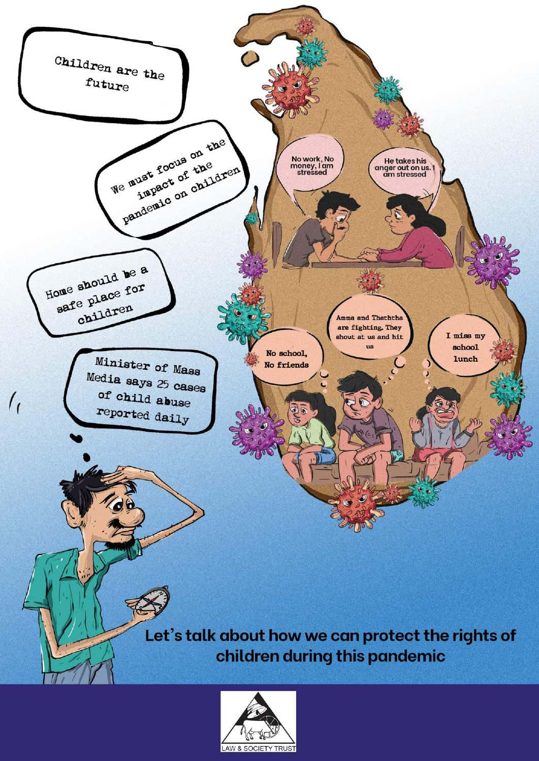

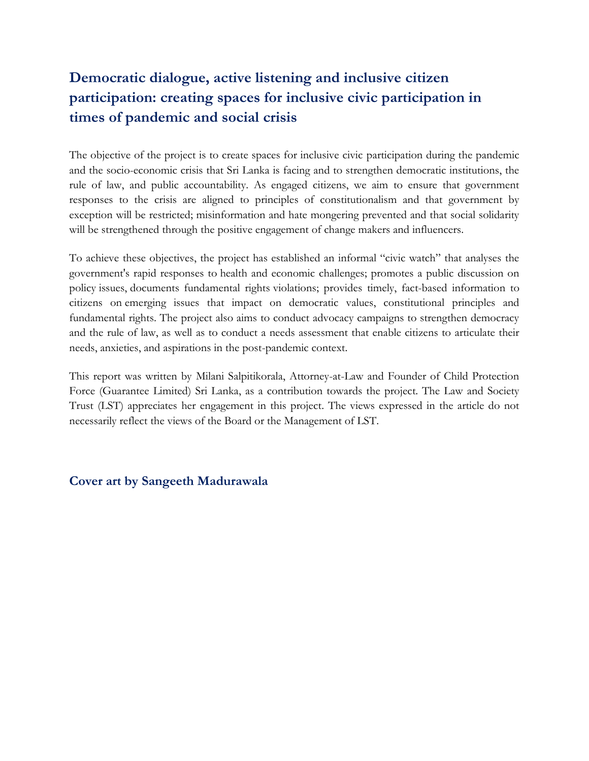## **Democratic dialogue, active listening and inclusive citizen participation: creating spaces for inclusive civic participation in times of pandemic and social crisis**

The objective of the project is to create spaces for inclusive civic participation during the pandemic and the socio-economic crisis that Sri Lanka is facing and to strengthen democratic institutions, the rule of law, and public accountability. As engaged citizens, we aim to ensure that government responses to the crisis are aligned to principles of constitutionalism and that government by exception will be restricted; misinformation and hate mongering prevented and that social solidarity will be strengthened through the positive engagement of change makers and influencers.

To achieve these objectives, the project has established an informal "civic watch" that analyses the government's rapid responses to health and economic challenges; promotes a public discussion on policy issues, documents fundamental rights violations; provides timely, fact-based information to citizens on emerging issues that impact on democratic values, constitutional principles and fundamental rights. The project also aims to conduct advocacy campaigns to strengthen democracy and the rule of law, as well as to conduct a needs assessment that enable citizens to articulate their needs, anxieties, and aspirations in the post-pandemic context.

This report was written by Milani Salpitikorala, Attorney-at-Law and Founder of Child Protection Force (Guarantee Limited) Sri Lanka, as a contribution towards the project. The Law and Society Trust (LST) appreciates her engagement in this project. The views expressed in the article do not necessarily reflect the views of the Board or the Management of LST.

#### **Cover art by Sangeeth Madurawala**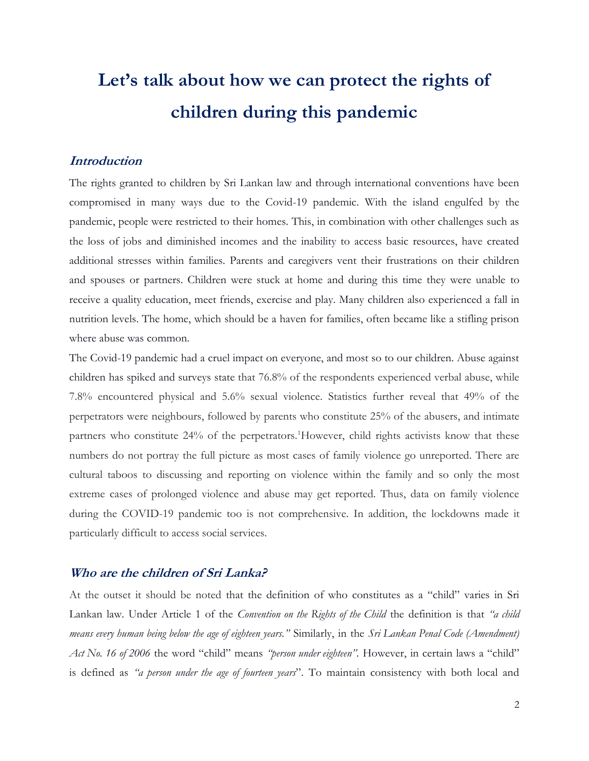# **Let's talk about how we can protect the rights of children during this pandemic**

#### **Introduction**

The rights granted to children by Sri Lankan law and through international conventions have been compromised in many ways due to the Covid-19 pandemic. With the island engulfed by the pandemic, people were restricted to their homes. This, in combination with other challenges such as the loss of jobs and diminished incomes and the inability to access basic resources, have created additional stresses within families. Parents and caregivers vent their frustrations on their children and spouses or partners. Children were stuck at home and during this time they were unable to receive a quality education, meet friends, exercise and play. Many children also experienced a fall in nutrition levels. The home, which should be a haven for families, often became like a stifling prison where abuse was common.

The Covid-19 pandemic had a cruel impact on everyone, and most so to our children. Abuse against children has spiked and surveys state that 76.8% of the respondents experienced verbal abuse, while 7.8% encountered physical and 5.6% sexual violence. Statistics further reveal that 49% of the perpetrators were neighbours, followed by parents who constitute 25% of the abusers, and intimate partners who constitute 24% of the perpetrators.<sup>1</sup>However, child rights activists know that these numbers do not portray the full picture as most cases of family violence go unreported. There are cultural taboos to discussing and reporting on violence within the family and so only the most extreme cases of prolonged violence and abuse may get reported. Thus, data on family violence during the COVID-19 pandemic too is not comprehensive. In addition, the lockdowns made it particularly difficult to access social services.

#### **Who are the children of Sri Lanka?**

At the outset it should be noted that the definition of who constitutes as a "child" varies in Sri Lankan law. Under Article 1 of the *Convention on the Rights of the Child* the definition is that *"a child means every human being below the age of eighteen years."* Similarly, in the *Sri Lankan Penal Code (Amendment) Act No. 16 of 2006* the word "child" means *"person under eighteen".* However, in certain laws a "child" is defined as *"a person under the age of fourteen years*". To maintain consistency with both local and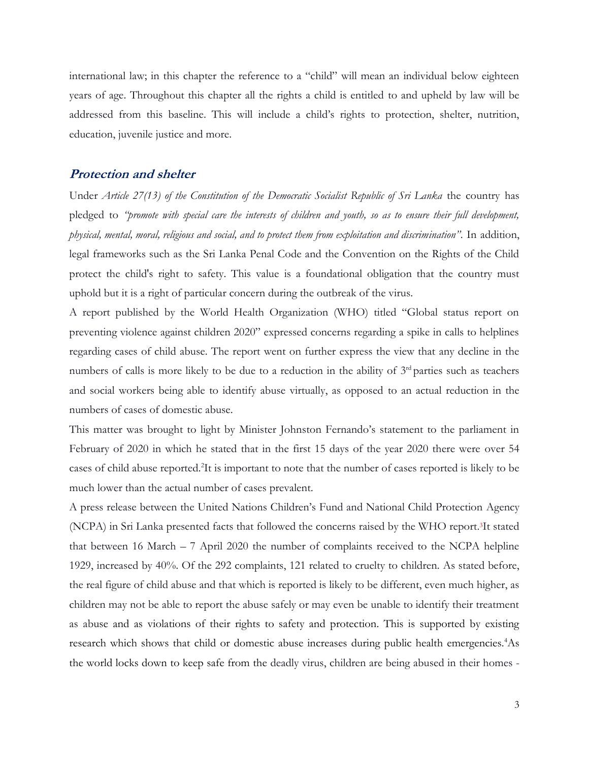international law; in this chapter the reference to a "child" will mean an individual below eighteen years of age. Throughout this chapter all the rights a child is entitled to and upheld by law will be addressed from this baseline. This will include a child's rights to protection, shelter, nutrition, education, juvenile justice and more.

#### **Protection and shelter**

Under *Article 27(13) of the Constitution of the Democratic Socialist Republic of Sri Lanka* the country has pledged to *"promote with special care the interests of children and youth, so as to ensure their full development, physical, mental, moral, religious and social, and to protect them from exploitation and discrimination"*. In addition, legal frameworks such as the Sri Lanka Penal Code and the Convention on the Rights of the Child protect the child's right to safety. This value is a foundational obligation that the country must uphold but it is a right of particular concern during the outbreak of the virus.

A report published by the World Health Organization (WHO) titled "Global status report on preventing violence against children 2020" expressed concerns regarding a spike in calls to helplines regarding cases of child abuse. The report went on further express the view that any decline in the numbers of calls is more likely to be due to a reduction in the ability of  $3<sup>rd</sup>$  parties such as teachers and social workers being able to identify abuse virtually, as opposed to an actual reduction in the numbers of cases of domestic abuse.

This matter was brought to light by Minister Johnston Fernando's statement to the parliament in February of 2020 in which he stated that in the first 15 days of the year 2020 there were over 54 cases of child abuse reported.<sup>2</sup>It is important to note that the number of cases reported is likely to be much lower than the actual number of cases prevalent.

A press release between the United Nations Children's Fund and National Child Protection Agency (NCPA) in Sri Lanka presented facts that followed the concerns raised by the WHO report. <sup>3</sup>It stated that between 16 March – 7 April 2020 the number of complaints received to the NCPA helpline 1929, increased by 40%. Of the 292 complaints, 121 related to cruelty to children. As stated before, the real figure of child abuse and that which is reported is likely to be different, even much higher, as children may not be able to report the abuse safely or may even be unable to identify their treatment as abuse and as violations of their rights to safety and protection. This is supported by existing research which shows that child or domestic abuse increases during public health emergencies.<sup>4</sup>As the world locks down to keep safe from the deadly virus, children are being abused in their homes -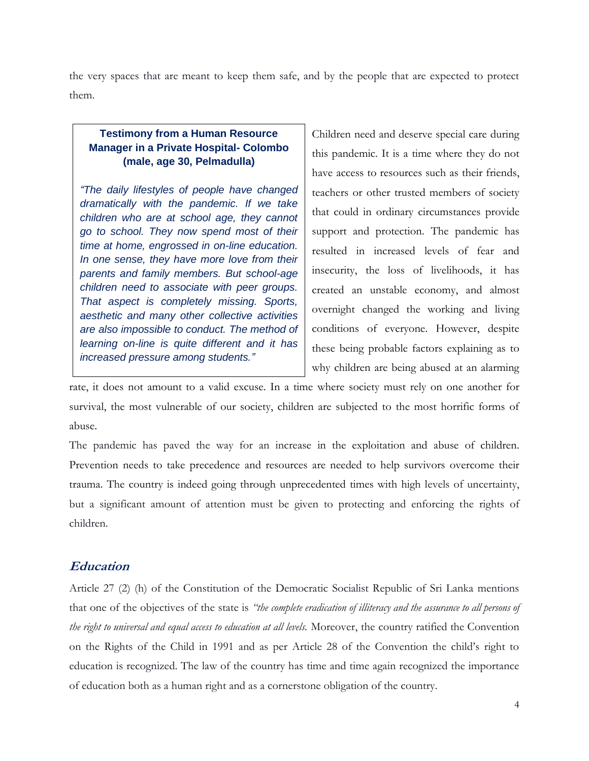the very spaces that are meant to keep them safe, and by the people that are expected to protect them.

#### **Testimony from a Human Resource Manager in a Private Hospital- Colombo (male, age 30, Pelmadulla)**

*"The daily lifestyles of people have changed dramatically with the pandemic. If we take children who are at school age, they cannot go to school. They now spend most of their time at home, engrossed in on-line education. In one sense, they have more love from their parents and family members. But school-age children need to associate with peer groups. That aspect is completely missing. Sports, aesthetic and many other collective activities are also impossible to conduct. The method of learning on-line is quite different and it has increased pressure among students."*

Children need and deserve special care during this pandemic. It is a time where they do not have access to resources such as their friends, teachers or other trusted members of society that could in ordinary circumstances provide support and protection. The pandemic has resulted in increased levels of fear and insecurity, the loss of livelihoods, it has created an unstable economy, and almost overnight changed the working and living conditions of everyone. However, despite these being probable factors explaining as to why children are being abused at an alarming

rate, it does not amount to a valid excuse. In a time where society must rely on one another for survival, the most vulnerable of our society, children are subjected to the most horrific forms of abuse.

The pandemic has paved the way for an increase in the exploitation and abuse of children. Prevention needs to take precedence and resources are needed to help survivors overcome their trauma. The country is indeed going through unprecedented times with high levels of uncertainty, but a significant amount of attention must be given to protecting and enforcing the rights of children.

#### **Education**

Article 27 (2) (h) of the Constitution of the Democratic Socialist Republic of Sri Lanka mentions that one of the objectives of the state is *"the complete eradication of illiteracy and the assurance to all persons of the right to universal and equal access to education at all levels.* Moreover, the country ratified the Convention on the Rights of the Child in 1991 and as per Article 28 of the Convention the child's right to education is recognized. The law of the country has time and time again recognized the importance of education both as a human right and as a cornerstone obligation of the country.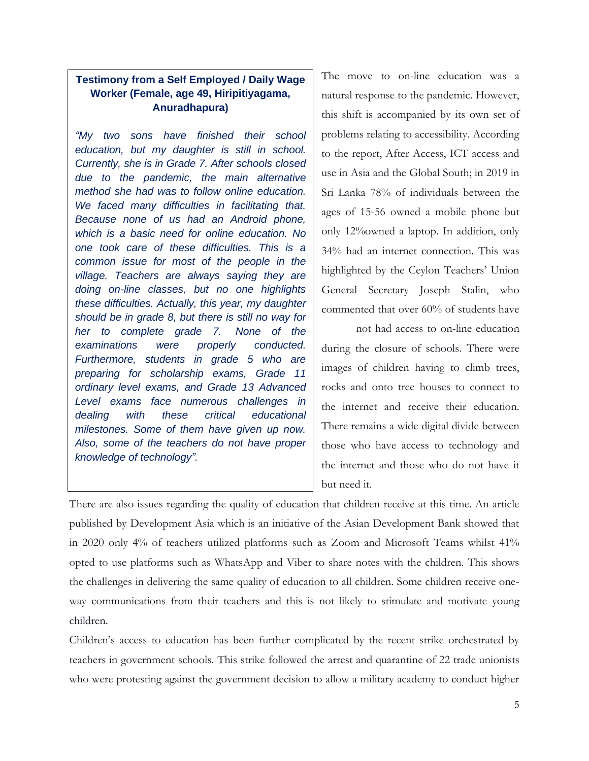#### **Testimony from a Self Employed / Daily Wage Worker (Female, age 49, Hiripitiyagama, Anuradhapura)**

*"My two sons have finished their school education, but my daughter is still in school. Currently, she is in Grade 7. After schools closed due to the pandemic, the main alternative method she had was to follow online education. We faced many difficulties in facilitating that. Because none of us had an Android phone, which is a basic need for online education. No one took care of these difficulties. This is a common issue for most of the people in the village. Teachers are always saying they are doing on-line classes, but no one highlights these difficulties. Actually, this year, my daughter should be in grade 8, but there is still no way for her to complete grade 7. None of the examinations were properly conducted. Furthermore, students in grade 5 who are preparing for scholarship exams, Grade 11 ordinary level exams, and Grade 13 Advanced Level exams face numerous challenges in dealing with these critical educational milestones. Some of them have given up now. Also, some of the teachers do not have proper knowledge of technology".*

The move to on-line education was a natural response to the pandemic. However, this shift is accompanied by its own set of problems relating to accessibility. According to the report, After Access, ICT access and use in Asia and the Global South; in 2019 in Sri Lanka 78% of individuals between the ages of 15-56 owned a mobile phone but only 12%owned a laptop. In addition, only 34% had an internet connection. This was highlighted by the Ceylon Teachers' Union General Secretary Joseph Stalin, who commented that over 60% of students have

not had access to on-line education during the closure of schools. There were images of children having to climb trees, rocks and onto tree houses to connect to the internet and receive their education. There remains a wide digital divide between those who have access to technology and the internet and those who do not have it but need it.

There are also issues regarding the quality of education that children receive at this time. An article published by Development Asia which is an initiative of the Asian Development Bank showed that in 2020 only 4% of teachers utilized platforms such as Zoom and Microsoft Teams whilst 41% opted to use platforms such as WhatsApp and Viber to share notes with the children. This shows the challenges in delivering the same quality of education to all children. Some children receive oneway communications from their teachers and this is not likely to stimulate and motivate young children.

Children's access to education has been further complicated by the recent strike orchestrated by teachers in government schools. This strike followed the arrest and quarantine of 22 trade unionists who were protesting against the government decision to allow a military academy to conduct higher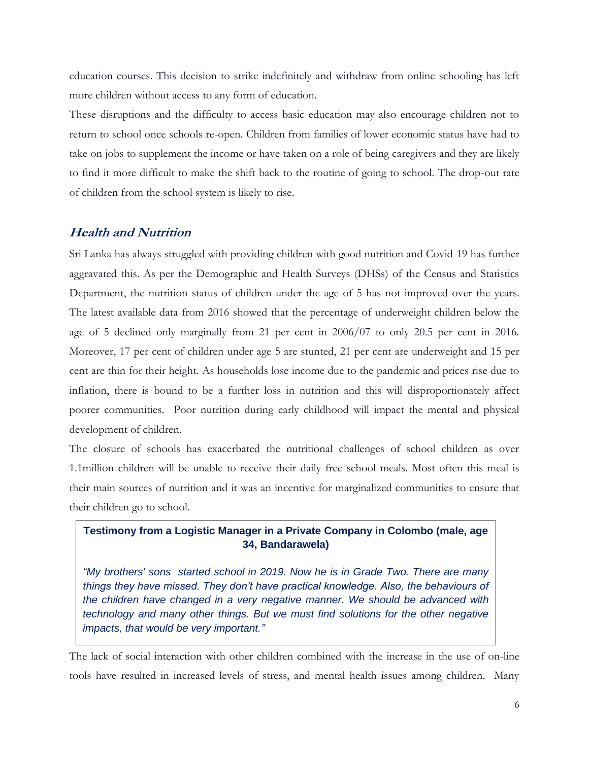education courses. This decision to strike indefinitely and withdraw from online schooling has left more children without access to any form of education.

These disruptions and the difficulty to access basic education may also encourage children not to return to school once schools re-open. Children from families of lower economic status have had to take on jobs to supplement the income or have taken on a role of being caregivers and they are likely to find it more difficult to make the shift back to the routine of going to school. The drop-out rate of children from the school system is likely to rise.

#### **Health and Nutrition**

Sri Lanka has always struggled with providing children with good nutrition and Covid-19 has further aggravated this. As per the Demographic and Health Surveys (DHSs) of the Census and Statistics Department, the nutrition status of children under the age of 5 has not improved over the years. The latest available data from 2016 showed that the percentage of underweight children below the age of 5 declined only marginally from 21 per cent in 2006/07 to only 20.5 per cent in 2016. Moreover, 17 per cent of children under age 5 are stunted, 21 per cent are underweight and 15 per cent are thin for their height. As households lose income due to the pandemic and prices rise due to inflation, there is bound to be a further loss in nutrition and this will disproportionately affect poorer communities. Poor nutrition during early childhood will impact the mental and physical development of children.

The closure of schools has exacerbated the nutritional challenges of school children as over 1.1million children will be unable to receive their daily free school meals. Most often this meal is their main sources of nutrition and it was an incentive for marginalized communities to ensure that their children go to school.

#### **Testimony from a Logistic Manager in a Private Company in Colombo (male, age 34, Bandarawela)**

*"My brothers' sons started school in 2019. Now he is in Grade Two. There are many things they have missed. They don't have practical knowledge. Also, the behaviours of the children have changed in a very negative manner. We should be advanced with technology and many other things. But we must find solutions for the other negative impacts, that would be very important."*

The lack of social interaction with other children combined with the increase in the use of on-line tools have resulted in increased levels of stress, and mental health issues among children. Many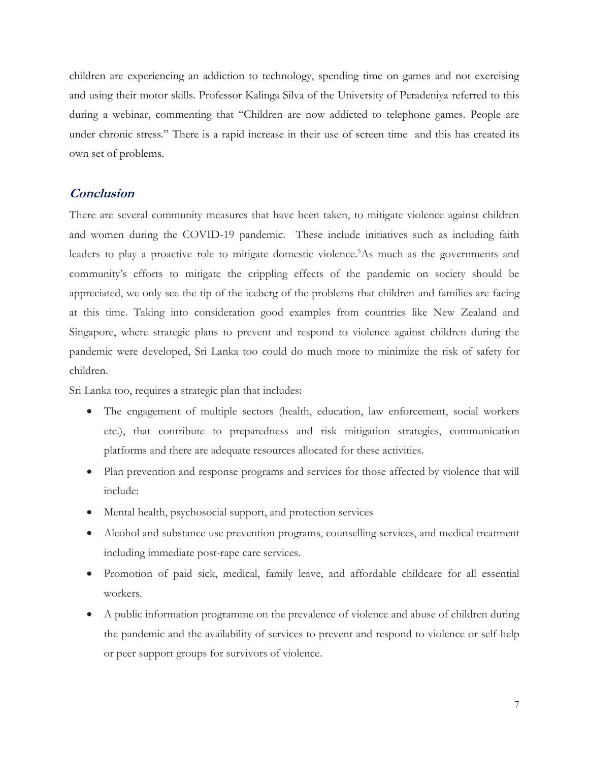children are experiencing an addiction to technology, spending time on games and not exercising and using their motor skills. Professor Kalinga Silva of the University of Peradeniya referred to this during a webinar, commenting that "Children are now addicted to telephone games. People are under chronic stress." There is a rapid increase in their use of screen time and this has created its own set of problems.

#### **Conclusion**

There are several community measures that have been taken, to mitigate violence against children and women during the COVID-19 pandemic. These include initiatives such as including faith leaders to play a proactive role to mitigate domestic violence.<sup>5</sup>As much as the governments and community's efforts to mitigate the crippling effects of the pandemic on society should be appreciated, we only see the tip of the iceberg of the problems that children and families are facing at this time. Taking into consideration good examples from countries like New Zealand and Singapore, where strategic plans to prevent and respond to violence against children during the pandemic were developed, Sri Lanka too could do much more to minimize the risk of safety for children.

Sri Lanka too, requires a strategic plan that includes:

- The engagement of multiple sectors (health, education, law enforcement, social workers etc.), that contribute to preparedness and risk mitigation strategies, communication platforms and there are adequate resources allocated for these activities.
- Plan prevention and response programs and services for those affected by violence that will include:
- Mental health, psychosocial support, and protection services
- Alcohol and substance use prevention programs, counselling services, and medical treatment including immediate post-rape care services.
- Promotion of paid sick, medical, family leave, and affordable childcare for all essential workers.
- A public information programme on the prevalence of violence and abuse of children during the pandemic and the availability of services to prevent and respond to violence or self-help or peer support groups for survivors of violence.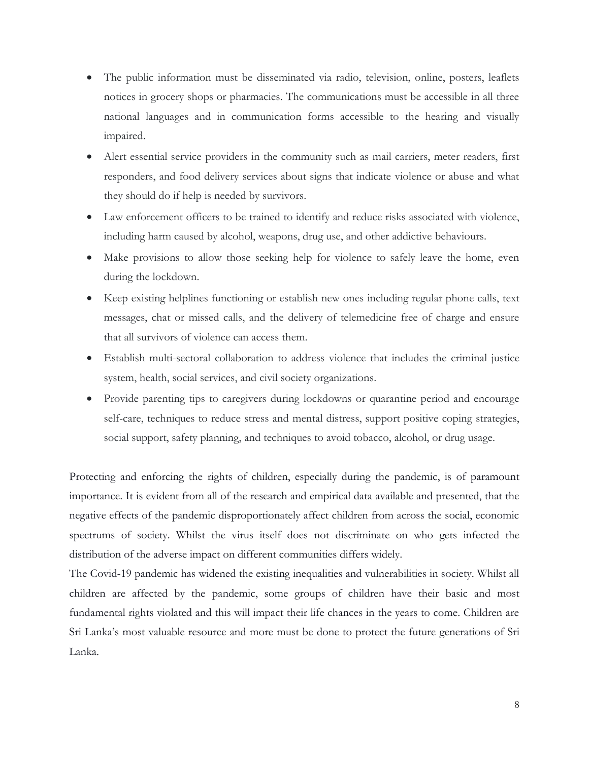- The public information must be disseminated via radio, television, online, posters, leaflets notices in grocery shops or pharmacies. The communications must be accessible in all three national languages and in communication forms accessible to the hearing and visually impaired.
- Alert essential service providers in the community such as mail carriers, meter readers, first responders, and food delivery services about signs that indicate violence or abuse and what they should do if help is needed by survivors.
- Law enforcement officers to be trained to identify and reduce risks associated with violence, including harm caused by alcohol, weapons, drug use, and other addictive behaviours.
- Make provisions to allow those seeking help for violence to safely leave the home, even during the lockdown.
- Keep existing helplines functioning or establish new ones including regular phone calls, text messages, chat or missed calls, and the delivery of telemedicine free of charge and ensure that all survivors of violence can access them.
- Establish multi-sectoral collaboration to address violence that includes the criminal justice system, health, social services, and civil society organizations.
- Provide parenting tips to caregivers during lockdowns or quarantine period and encourage self-care, techniques to reduce stress and mental distress, support positive coping strategies, social support, safety planning, and techniques to avoid tobacco, alcohol, or drug usage.

Protecting and enforcing the rights of children, especially during the pandemic, is of paramount importance. It is evident from all of the research and empirical data available and presented, that the negative effects of the pandemic disproportionately affect children from across the social, economic spectrums of society. Whilst the virus itself does not discriminate on who gets infected the distribution of the adverse impact on different communities differs widely.

The Covid-19 pandemic has widened the existing inequalities and vulnerabilities in society. Whilst all children are affected by the pandemic, some groups of children have their basic and most fundamental rights violated and this will impact their life chances in the years to come. Children are Sri Lanka's most valuable resource and more must be done to protect the future generations of Sri Lanka.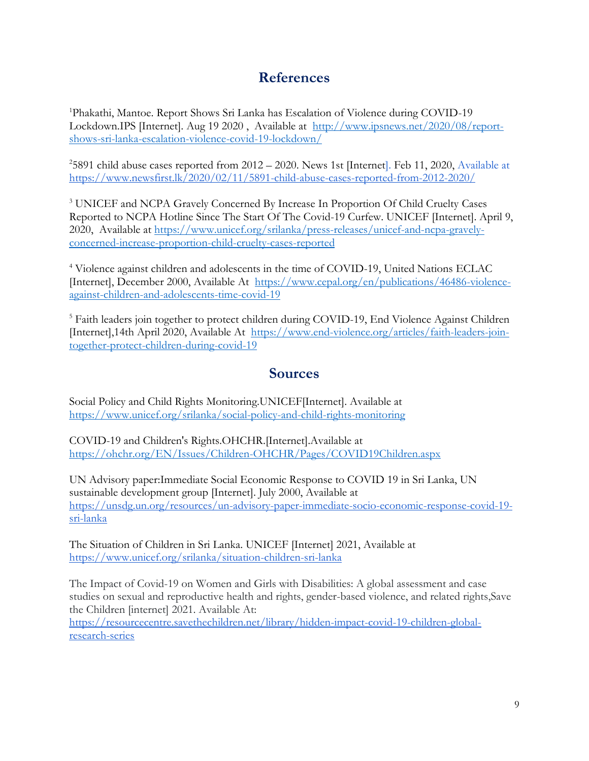## **References**

<sup>1</sup>Phakathi, Mantoe. Report Shows Sri Lanka has Escalation of Violence during COVID-19 Lockdown.IPS [Internet]. Aug 19 2020 , Available at [http://www.ipsnews.net/2020/08/report](http://www.ipsnews.net/2020/08/report-shows-sri-lanka-escalation-violence-covid-19-lockdown/)[shows-sri-lanka-escalation-violence-covid-19-lockdown/](http://www.ipsnews.net/2020/08/report-shows-sri-lanka-escalation-violence-covid-19-lockdown/)

 $^{2}$ 5891 child abuse cases reported from 2012 – 2020. News 1st [Internet]. Feb 11, 2020, Available at <https://www.newsfirst.lk/2020/02/11/5891-child-abuse-cases-reported-from-2012-2020/>

<sup>3</sup> UNICEF and NCPA Gravely Concerned By Increase In Proportion Of Child Cruelty Cases Reported to NCPA Hotline Since The Start Of The Covid-19 Curfew. UNICEF [Internet]. April 9, 2020, Available at [https://www.unicef.org/srilanka/press-releases/unicef-and-ncpa-gravely](https://www.unicef.org/srilanka/press-releases/unicef-and-ncpa-gravely-concerned-increase-proportion-child-cruelty-cases-reported)[concerned-increase-proportion-child-cruelty-cases-reported](https://www.unicef.org/srilanka/press-releases/unicef-and-ncpa-gravely-concerned-increase-proportion-child-cruelty-cases-reported)

<sup>4</sup> Violence against children and adolescents in the time of COVID-19, United Nations ECLAC [Internet], December 2000, Available At [https://www.cepal.org/en/publications/46486-violence](https://www.cepal.org/en/publications/46486-violence-against-children-and-adolescents-time-covid-19)[against-children-and-adolescents-time-covid-19](https://www.cepal.org/en/publications/46486-violence-against-children-and-adolescents-time-covid-19)

<sup>5</sup> Faith leaders join together to protect children during COVID-19, End Violence Against Children [Internet],14th April 2020, Available At [https://www.end-violence.org/articles/faith-leaders-join](https://www.end-violence.org/articles/faith-leaders-join-together-protect-children-during-covid-19)[together-protect-children-during-covid-19](https://www.end-violence.org/articles/faith-leaders-join-together-protect-children-during-covid-19)

### **Sources**

Social Policy and Child Rights Monitoring.UNICEF[Internet]. Available at <https://www.unicef.org/srilanka/social-policy-and-child-rights-monitoring>

COVID-19 and Children's Rights.OHCHR.[Internet].Available at <https://ohchr.org/EN/Issues/Children-OHCHR/Pages/COVID19Children.aspx>

UN Advisory paper:Immediate Social Economic Response to COVID 19 in Sri Lanka, UN sustainable development group [Internet]. July 2000, Available at [https://unsdg.un.org/resources/un-advisory-paper-immediate-socio-economic-response-covid-19](https://unsdg.un.org/resources/un-advisory-paper-immediate-socio-economic-response-covid-19-sri-lanka) [sri-lanka](https://unsdg.un.org/resources/un-advisory-paper-immediate-socio-economic-response-covid-19-sri-lanka)

The Situation of Children in Sri Lanka. UNICEF [Internet] 2021, Available at <https://www.unicef.org/srilanka/situation-children-sri-lanka>

The Impact of Covid-19 on Women and Girls with Disabilities: A global assessment and case studies on sexual and reproductive health and rights, gender-based violence, and related rights,Save the Children [internet] 2021. Available At: [https://resourcecentre.savethechildren.net/library/hidden-impact-covid-19-children-global-](https://resourcecentre.savethechildren.net/library/hidden-impact-covid-19-children-global-research-series)

[research-series](https://resourcecentre.savethechildren.net/library/hidden-impact-covid-19-children-global-research-series)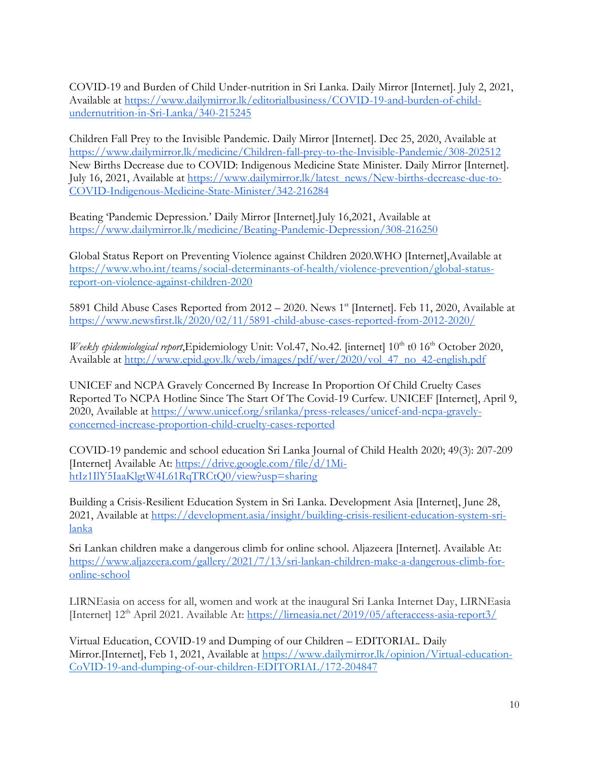COVID-19 and Burden of Child Under-nutrition in Sri Lanka. Daily Mirror [Internet]. July 2, 2021, Available at [https://www.dailymirror.lk/editorialbusiness/COVID-19-and-burden-of-child](https://www.dailymirror.lk/editorialbusiness/COVID-19-and-burden-of-child-undernutrition-in-Sri-Lanka/340-215245)[undernutrition-in-Sri-Lanka/340-215245](https://www.dailymirror.lk/editorialbusiness/COVID-19-and-burden-of-child-undernutrition-in-Sri-Lanka/340-215245)

Children Fall Prey to the Invisible Pandemic. Daily Mirror [Internet]. Dec 25, 2020, Available at <https://www.dailymirror.lk/medicine/Children-fall-prey-to-the-Invisible-Pandemic/308-202512> New Births Decrease due to COVID: Indigenous Medicine State Minister. Daily Mirror [Internet]. July 16, 2021, Available at [https://www.dailymirror.lk/latest\\_news/New-births-decrease-due-to-](https://www.dailymirror.lk/latest_news/New-births-decrease-due-to-COVID-Indigenous-Medicine-State-Minister/342-216284)[COVID-Indigenous-Medicine-State-Minister/342-216284](https://www.dailymirror.lk/latest_news/New-births-decrease-due-to-COVID-Indigenous-Medicine-State-Minister/342-216284)

Beating 'Pandemic Depression.' Daily Mirror [Internet].July 16,2021, Available at <https://www.dailymirror.lk/medicine/Beating-Pandemic-Depression/308-216250>

Global Status Report on Preventing Violence against Children 2020.WHO [Internet],Available at [https://www.who.int/teams/social-determinants-of-health/violence-prevention/global-status](https://www.who.int/teams/social-determinants-of-health/violence-prevention/global-status-report-on-violence-against-children-2020)[report-on-violence-against-children-2020](https://www.who.int/teams/social-determinants-of-health/violence-prevention/global-status-report-on-violence-against-children-2020)

5891 Child Abuse Cases Reported from 2012 – 2020. News 1<sup>st</sup> [Internet]. Feb 11, 2020, Available at <https://www.newsfirst.lk/2020/02/11/5891-child-abuse-cases-reported-from-2012-2020/>

*Weekly epidemiological report*,Epidemiology Unit: Vol.47, No.42. [internet]  $10^{th}$  t0  $16^{th}$  October 2020, Available at [http://www.epid.gov.lk/web/images/pdf/wer/2020/vol\\_47\\_no\\_42-english.pdf](http://www.epid.gov.lk/web/images/pdf/wer/2020/vol_47_no_42-english.pdf)

UNICEF and NCPA Gravely Concerned By Increase In Proportion Of Child Cruelty Cases Reported To NCPA Hotline Since The Start Of The Covid-19 Curfew. UNICEF [Internet], April 9, 2020, Available at [https://www.unicef.org/srilanka/press-releases/unicef-and-ncpa-gravely](https://www.unicef.org/srilanka/press-releases/unicef-and-ncpa-gravely-concerned-increase-proportion-child-cruelty-cases-reported)[concerned-increase-proportion-child-cruelty-cases-reported](https://www.unicef.org/srilanka/press-releases/unicef-and-ncpa-gravely-concerned-increase-proportion-child-cruelty-cases-reported)

COVID-19 pandemic and school education Sri Lanka Journal of Child Health 2020; 49(3): 207-209 [Internet] Available At: [https://drive.google.com/file/d/1Mi](https://drive.google.com/file/d/1Mi-htIz1IlY5IaaKlgtW4L61RqTRCtQ0/view?usp=sharing)[htIz1IlY5IaaKlgtW4L61RqTRCtQ0/view?usp=sharing](https://drive.google.com/file/d/1Mi-htIz1IlY5IaaKlgtW4L61RqTRCtQ0/view?usp=sharing)

Building a Crisis-Resilient Education System in Sri Lanka. Development Asia [Internet], June 28, 2021, Available at [https://development.asia/insight/building-crisis-resilient-education-system-sri](https://development.asia/insight/building-crisis-resilient-education-system-sri-lanka)[lanka](https://development.asia/insight/building-crisis-resilient-education-system-sri-lanka)

Sri Lankan children make a dangerous climb for online school. Aljazeera [Internet]. Available At: [https://www.aljazeera.com/gallery/2021/7/13/sri-lankan-children-make-a-dangerous-climb-for](https://www.aljazeera.com/gallery/2021/7/13/sri-lankan-children-make-a-dangerous-climb-for-online-school)[online-school](https://www.aljazeera.com/gallery/2021/7/13/sri-lankan-children-make-a-dangerous-climb-for-online-school)

LIRNEasia on access for all, women and work at the inaugural Sri Lanka Internet Day, LIRNEasia [Internet] 12th April 2021. Available At:<https://lirneasia.net/2019/05/afteraccess-asia-report3/>

Virtual Education, COVID-19 and Dumping of our Children – EDITORIAL. Daily Mirror.[Internet], Feb 1, 2021, Available at [https://www.dailymirror.lk/opinion/Virtual-education-](https://www.dailymirror.lk/opinion/Virtual-education-CoVID-19-and-dumping-of-our-children-EDITORIAL/172-204847)[CoVID-19-and-dumping-of-our-children-EDITORIAL/172-204847](https://www.dailymirror.lk/opinion/Virtual-education-CoVID-19-and-dumping-of-our-children-EDITORIAL/172-204847)